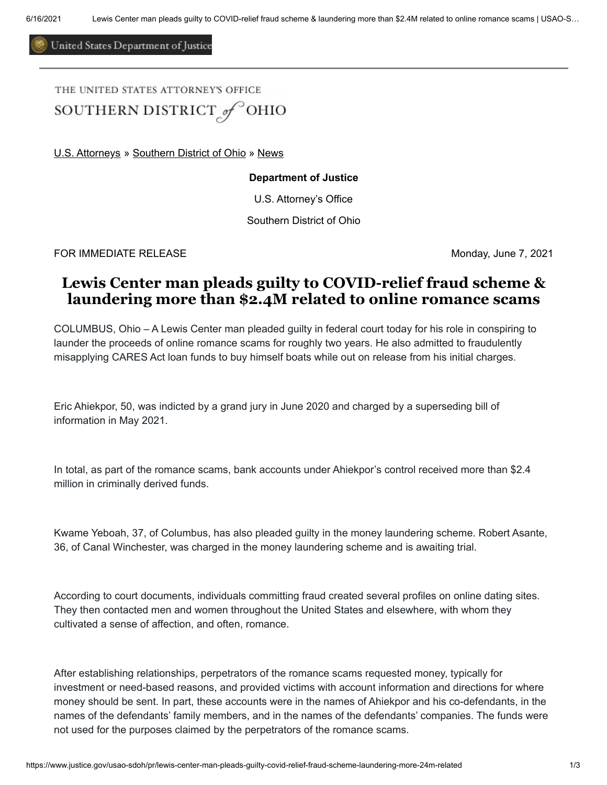United States Department of Justice

## THE UNITED STATES ATTORNEY'S OFFICE SOUTHERN DISTRICT of OHIO

[U.S. Attorneys](https://www.justice.gov/usao) » [Southern District of Ohio](https://www.justice.gov/usao-sdoh) » [News](https://www.justice.gov/usao-sdoh/pr)

## **Department of Justice**

U.S. Attorney's Office

Southern District of Ohio

FOR IMMEDIATE RELEASE **Monday, June 7, 2021** 

## **Lewis Center man pleads guilty to COVID-relief fraud scheme & laundering more than \$2.4M related to online romance scams**

COLUMBUS, Ohio – A Lewis Center man pleaded guilty in federal court today for his role in conspiring to launder the proceeds of online romance scams for roughly two years. He also admitted to fraudulently misapplying CARES Act loan funds to buy himself boats while out on release from his initial charges.

Eric Ahiekpor, 50, was indicted by a grand jury in June 2020 and charged by a superseding bill of information in May 2021.

In total, as part of the romance scams, bank accounts under Ahiekpor's control received more than \$2.4 million in criminally derived funds.

Kwame Yeboah, 37, of Columbus, has also pleaded guilty in the money laundering scheme. Robert Asante, 36, of Canal Winchester, was charged in the money laundering scheme and is awaiting trial.

According to court documents, individuals committing fraud created several profiles on online dating sites. They then contacted men and women throughout the United States and elsewhere, with whom they cultivated a sense of affection, and often, romance.

After establishing relationships, perpetrators of the romance scams requested money, typically for investment or need-based reasons, and provided victims with account information and directions for where money should be sent. In part, these accounts were in the names of Ahiekpor and his co-defendants, in the names of the defendants' family members, and in the names of the defendants' companies. The funds were not used for the purposes claimed by the perpetrators of the romance scams.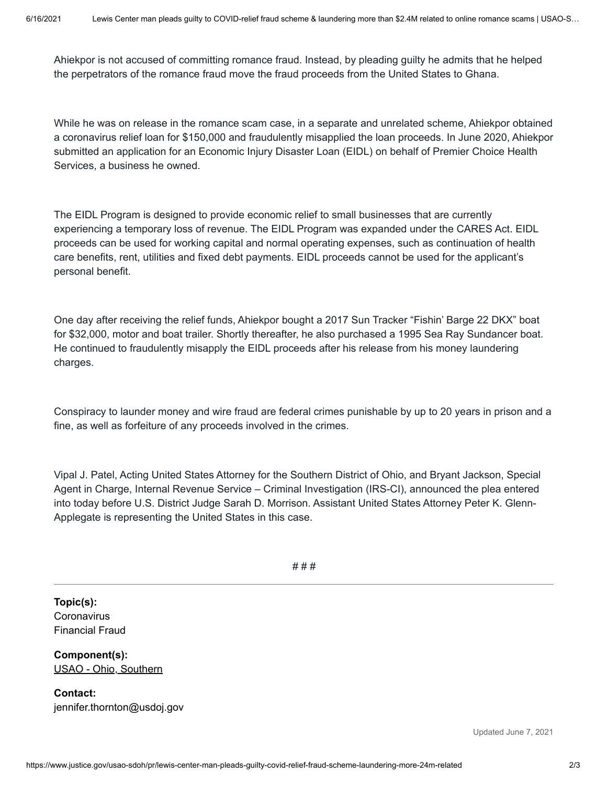Ahiekpor is not accused of committing romance fraud. Instead, by pleading guilty he admits that he helped the perpetrators of the romance fraud move the fraud proceeds from the United States to Ghana.

While he was on release in the romance scam case, in a separate and unrelated scheme, Ahiekpor obtained a coronavirus relief loan for \$150,000 and fraudulently misapplied the loan proceeds. In June 2020, Ahiekpor submitted an application for an Economic Injury Disaster Loan (EIDL) on behalf of Premier Choice Health Services, a business he owned.

The EIDL Program is designed to provide economic relief to small businesses that are currently experiencing a temporary loss of revenue. The EIDL Program was expanded under the CARES Act. EIDL proceeds can be used for working capital and normal operating expenses, such as continuation of health care benefits, rent, utilities and fixed debt payments. EIDL proceeds cannot be used for the applicant's personal benefit.

One day after receiving the relief funds, Ahiekpor bought a 2017 Sun Tracker "Fishin' Barge 22 DKX" boat for \$32,000, motor and boat trailer. Shortly thereafter, he also purchased a 1995 Sea Ray Sundancer boat. He continued to fraudulently misapply the EIDL proceeds after his release from his money laundering charges.

Conspiracy to launder money and wire fraud are federal crimes punishable by up to 20 years in prison and a fine, as well as forfeiture of any proceeds involved in the crimes.

Vipal J. Patel, Acting United States Attorney for the Southern District of Ohio, and Bryant Jackson, Special Agent in Charge, Internal Revenue Service – Criminal Investigation (IRS-CI), announced the plea entered into today before U.S. District Judge Sarah D. Morrison. Assistant United States Attorney Peter K. Glenn-Applegate is representing the United States in this case.

*# # #*

**Topic(s): Coronavirus** Financial Fraud

**Component(s):** [USAO - Ohio, Southern](http://www.justice.gov/usao-sdoh)

**Contact:** jennifer.thornton@usdoj.gov